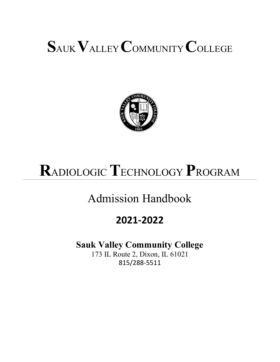# **S**AUK **V**ALLEY **C**OMMUNITY **C**OLLEGE



# **R**ADIOLOGIC **T**ECHNOLOGY **P**ROGRAM

## Admission Handbook

## **2021-2022**

## **Sauk Valley Community College**

173 IL Route 2, Dixon, IL 61021 815/288-5511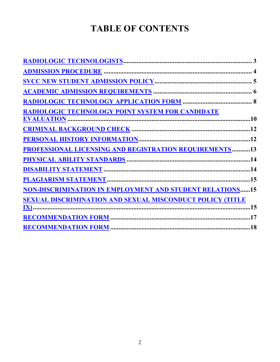## **TABLE OF CONTENTS**

| <b>RADIOLOGIC TECHNOLOGY POINT SYSTEM FOR CANDIDATE</b><br><b>EVALUATION</b> |     |
|------------------------------------------------------------------------------|-----|
|                                                                              |     |
|                                                                              |     |
| PROFESSIONAL LICENSING AND REGISTRATION REQUIREMENTS13                       |     |
|                                                                              |     |
|                                                                              | .14 |
| PLAGIARISM STATEMENT.                                                        |     |
| <b>NON-DISCRIMINATION IN EMPLOYMENT AND STUDENT RELATIONS15</b>              |     |
| <b>SEXUAL DISCRIMINATION AND SEXUAL MISCONDUCT POLICY (TITLE</b>             |     |
| $\mathbf{I}(\mathbf{X})$                                                     |     |
|                                                                              | 17  |
|                                                                              | 18  |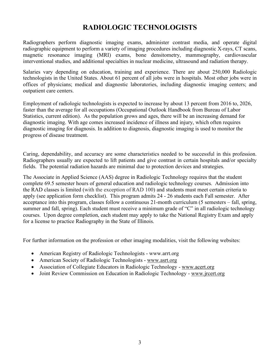## **RADIOLOGIC TECHNOLOGISTS**

<span id="page-2-0"></span>Radiographers perform diagnostic imaging exams, administer contrast media, and operate digital radiographic equipment to perform a variety of imaging procedures including diagnostic X-rays, CT scans, magnetic resonance imaging (MRI) exams, bone densitometry, mammography, cardiovascular interventional studies, and additional specialties in nuclear medicine, ultrasound and radiation therapy.

Salaries vary depending on education, training and experience. There are about 250,000 Radiologic technologists in the United States. About 61 percent of all jobs were in hospitals. Most other jobs were in offices of physicians; medical and diagnostic laboratories, including diagnostic imaging centers; and outpatient care centers.

Employment of radiologic technologists is expected to increase by about 13 percent from 2016 to, 2026, faster than the average for all occupations (Occupational Outlook Handbook from Bureau of Labor Statistics, current edition). As the population grows and ages, there will be an increasing demand for diagnostic imaging. With age comes increased incidence of illness and injury, which often requires diagnostic imaging for diagnosis. In addition to diagnosis, diagnostic imaging is used to monitor the progress of disease treatment.

Caring, dependability, and accuracy are some characteristics needed to be successful in this profession. Radiographers usually are expected to lift patients and give contrast in certain hospitals and/or specialty fields. The potential radiation hazards are minimal due to protection devices and strategies.

The Associate in Applied Science (AAS) degree in Radiologic Technology requires that the student complete 69.5 semester hours of general education and radiologic technology courses. Admission into the RAD classes is limited (with the exception of RAD 100) and students must meet certain criteria to apply (see application form checklist). This program admits 24 - 26 students each Fall semester. After acceptance into this program, classes follow a continuous 21-month curriculum (5 semesters – fall, spring, summer and fall, spring). Each student must receive a minimum grade of "C" in all radiologic technology courses. Upon degree completion, each student may apply to take the National Registry Exam and apply for a license to practice Radiography in the State of Illinois.

For further information on the profession or other imaging modalities, visit the following websites:

- American Registry of Radiologic Technologists www.arrt.org
- American Society of Radiologic Technologists [www.asrt.org](about:blank)
- Association of Collegiate Educators in Radiologic Technology www.acert.org
- Joint Review Commission on Education in Radiologic Technology www.jrcert.org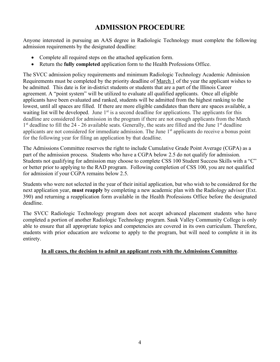### **ADMISSION PROCEDURE**

<span id="page-3-0"></span>Anyone interested in pursuing an AAS degree in Radiologic Technology must complete the following admission requirements by the designated deadline:

- Complete all required steps on the attached application form.
- Return the **fully completed** application form to the Health Professions Office.

The SVCC admission policy requirements and minimum Radiologic Technology Academic Admission Requirements must be completed by the priority deadline of March 1 of the year the applicant wishes to be admitted. This date is for in-district students or students that are a part of the Illinois Career agreement. A "point system" will be utilized to evaluate all qualified applicants. Once all eligible applicants have been evaluated and ranked, students will be admitted from the highest ranking to the lowest, until all spaces are filled. If there are more eligible candidates than there are spaces available, a waiting list will be developed. June  $1<sup>st</sup>$  is a second deadline for applications. The applicants for this deadline are considered for admission in the program if there are not enough applicants from the March  $1<sup>st</sup>$  deadline to fill the 24 - 26 available seats. Generally, the seats are filled and the June  $1<sup>st</sup>$  deadline applicants are not considered for immediate admission. The June  $1<sup>st</sup>$  applicants do receive a bonus point for the following year for filing an application by that deadline.

The Admissions Committee reserves the right to include Cumulative Grade Point Average (CGPA) as a part of the admission process. Students who have a CGPA below 2.5 do not qualify for admission. Students not qualifying for admission may choose to complete CSS 100 Student Success Skills with a "C" or better prior to applying to the RAD program. Following completion of CSS 100, you are not qualified for admission if your CGPA remains below 2.5.

Students who were not selected in the year of their initial application, but who wish to be considered for the next application year, **must reapply** by completing a new academic plan with the Radiology advisor (Ext. 390) and returning a reapplication form available in the Health Professions Office before the designated deadline.

The SVCC Radiologic Technology program does not accept advanced placement students who have completed a portion of another Radiologic Technology program. Sauk Valley Community College is only able to ensure that all appropriate topics and competencies are covered in its own curriculum. Therefore, students with prior education are welcome to apply to the program, but will need to complete it in its entirety.

#### **In all cases, the decision to admit an applicant rests with the Admissions Committee**.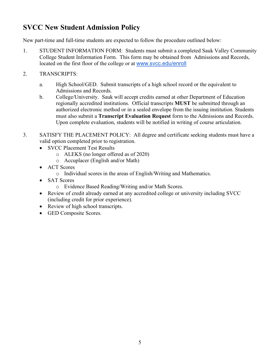## <span id="page-4-0"></span>**SVCC New Student Admission Policy**

New part-time and full-time students are expected to follow the procedure outlined below:

- 1. STUDENT INFORMATION FORM: Students must submit a completed Sauk Valley Community College Student Information Form. This form may be obtained from Admissions and Records, located on the first floor of the college or at [www.svcc.edu/enroll](about:blank)
- 2. TRANSCRIPTS:
	- a. High School/GED. Submit transcripts of a high school record or the equivalent to Admissions and Records.
	- b. College/University. Sauk will accept credits earned at other Department of Education regionally accredited institutions. Official transcripts **MUST** be submitted through an authorized electronic method or in a sealed envelope from the issuing institution. Students must also submit a **Transcript Evaluation Request** form to the Admissions and Records. Upon complete evaluation, students will be notified in writing of course articulation.
- 3. SATISFY THE PLACEMENT POLICY: All degree and certificate seeking students must have a valid option completed prior to registration.
	- SVCC Placement Test Results
		- o ALEKS (no longer offered as of 2020)
		- o Accuplacer (English and/or Math)
	- ACT Scores
		- o Individual scores in the areas of English/Writing and Mathematics.
	- SAT Scores
		- o Evidence Based Reading/Writing and/or Math Scores.
	- Review of credit already earned at any accredited college or university including SVCC (including credit for prior experience).
	- Review of high school transcripts.
	- GED Composite Scores.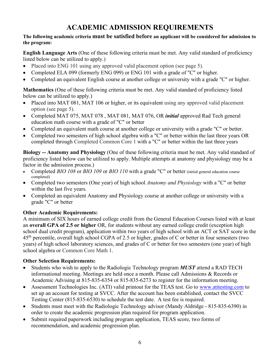## **ACADEMIC ADMISSION REQUIREMENTS**

#### <span id="page-5-0"></span>**The following academic criteria must be satisfied before an applicant will be considered for admission to the program:**

**English Language Arts** (One of these following criteria must be met. Any valid standard of proficiency listed below can be utilized to apply.)

- Placed into ENG 101 using any approved valid placement option (see page 5).
- Completed ELA 099 (formerly ENG 099) or ENG 101 with a grade of "C" or higher.
- Completed an equivalent English course at another college or university with a grade "C" or higher.

**Mathematics** (One of these following criteria must be met. Any valid standard of proficiency listed below can be utilized to apply.)

- Placed into MAT 081, MAT 106 or higher, or its equivalent using any approved valid placement option (see page 5).
- Completed MAT 075, MAT 078 , MAT 081, MAT 076, OR *initial* approved Rad Tech general education math course with a grade of "C" or better
- Completed an equivalent math course at another college or university with a grade "C" or better.
- Completed two semesters of high school algebra with a "C" or better within the last three years OR completed through Completed Common Core 1 with a "C" or better within the last three years

**Biology -- Anatomy and Physiology** (One of these following criteria must be met. Any valid standard of proficiency listed below can be utilized to apply. Multiple attempts at anatomy and physiology may be a factor in the admission process.)

- Completed *BIO 108* or *BIO 109* or *BIO 110* with a grade "C" or better (initial general education course completed)
- Completed two semesters (One year) of high school *Anatomy and Physiology* with a "C" or better within the last five years.
- Completed an equivalent Anatomy and Physiology course at another college or university with a grade "C" or better

#### **Other Academic Requirements:**

A minimum of SIX hours of earned college credit from the General Education Courses listed with at least an **overall GPA of 2.5 or higher** OR, for students without any earned college credit (exception high school dual credit program), application within two years of high school with an ACT or SAT score in the 45th percentile, overall high school CGPA of 2.5 or higher, grades of C or better in four semesters (two years) of high school laboratory sciences, and grades of C or better for two semesters (one year) of high school algebra or Common Core Math 1.

#### **Other Selection Requirements:**

- Students who wish to apply to the Radiologic Technology program *MUST* attend a RAD TECH informational meeting. Meetings are held once a month. Please call Admissions & Records or Academic Advising at 815-835-6354 or 815-835-6273 to register for the information meeting.
- Assessment Technologies Inc. (ATI) valid printout for the TEAS test. Go to [www.atitesting.com](about:blank) to set up an account for testing at SVCC. After the account has been established, contact the SVCC Testing Center (815-835-6530) to schedule the test date. A test fee is required.
- Students must meet with the Radiologic Technology advisor (Mandy Aldridge 815-835-6390) in order to create the academic progression plan required for program application.
- Submit required paperwork including program application, TEAS score, two forms of recommendation, and academic progression plan.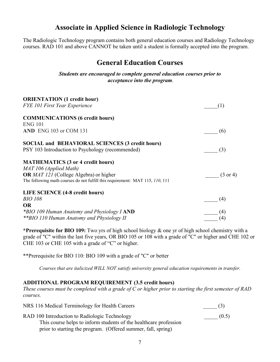### **Associate in Applied Science in Radiologic Technology**

The Radiologic Technology program contains both general education courses and Radiology Technology courses. RAD 101 and above CANNOT be taken until a student is formally accepted into the program.

### **General Education Courses**

*Students are encouraged to complete general education courses prior to acceptance into the program*.

| <b>ORIENTATION</b> (1 credit hour)                                            |                     |
|-------------------------------------------------------------------------------|---------------------|
| <b>FYE 101 First Year Experience</b>                                          | (1)                 |
| <b>COMMUNICATIONS (6 credit hours)</b>                                        |                     |
| <b>ENG 101</b>                                                                |                     |
| AND ENG 103 or COM 131                                                        | (6)                 |
| <b>SOCIAL and BEHAVIORAL SCIENCES (3 credit hours)</b>                        |                     |
| PSY 103 Introduction to Psychology (recommended)                              | (3)                 |
| <b>MATHEMATICS (3 or 4 credit hours)</b>                                      |                     |
| MAT 106 (Applied Math)                                                        |                     |
| <b>OR</b> MAT 121 (College Algebra) or higher                                 | $(3 \text{ or } 4)$ |
| The following math courses do not fulfill this requirement: MAT 115, 110, 111 |                     |
| LIFE SCIENCE (4-8 credit hours)                                               |                     |
| <b>BIO 108</b>                                                                | (4)                 |
| <b>OR</b>                                                                     |                     |
| <i>*BIO 109 Human Anatomy and Physiology I AND</i>                            | (4)                 |
| **BIO 110 Human Anatomy and Physiology II                                     | (4)                 |

**\*Prerequisite for BIO 109:** Two yrs of high school biology & one yr of high school chemistry with a grade of "C" within the last five years, OR BIO 105 or 108 with a grade of "C" or higher and CHE 102 or CHE 103 or CHE 105 with a grade of "C" or higher.

\*\*Prerequisite for BIO 110: BIO 109 with a grade of "C" or better

*Courses that are italicized WILL NOT satisfy university general education requirements in transfer.*

#### **ADDITIONAL PROGRAM REQUIREMENT (3.5 credit hours)**

*These courses must be completed with a grade of C or higher prior to starting the first semester of RAD courses.* 

NRS 116 Medical Terminology for Health Careers \_\_\_\_\_ (3)

RAD 100 Introduction to Radiologic Technology (0.5) This course helps to inform students of the healthcare profession prior to starting the program. (Offered summer, fall, spring)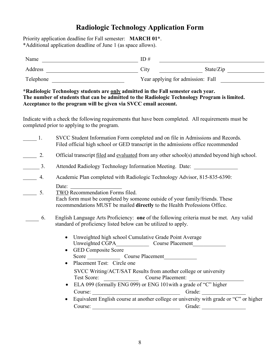## **Radiologic Technology Application Form**

<span id="page-7-0"></span>Priority application deadline for Fall semester: **MARCH 01\***. \*Additional application deadline of June 1 (as space allows).

| Name      | ID #                              |           |
|-----------|-----------------------------------|-----------|
| Address   | City                              | State/Zip |
| Telephone | Year applying for admission: Fall |           |

**\*Radiologic Technology students are only admitted in the Fall semester each year. The number of students that can be admitted to the Radiologic Technology Program is limited. Acceptance to the program will be given via SVCC email account.** 

Indicate with a check the following requirements that have been completed. All requirements must be completed prior to applying to the program.

| $\overline{1}$ . | SVCC Student Information Form completed and on file in Admissions and Records.<br>Filed official high school or GED transcript in the admissions office recommended                                                                                                                                                                                                                                                                                                                                                                                                     |
|------------------|-------------------------------------------------------------------------------------------------------------------------------------------------------------------------------------------------------------------------------------------------------------------------------------------------------------------------------------------------------------------------------------------------------------------------------------------------------------------------------------------------------------------------------------------------------------------------|
| 2.               | Official transcript filed and evaluated from any other school(s) attended beyond high school.                                                                                                                                                                                                                                                                                                                                                                                                                                                                           |
| $\overline{3}$ . | Attended Radiology Technology Information Meeting. Date:                                                                                                                                                                                                                                                                                                                                                                                                                                                                                                                |
| 4.               | Academic Plan completed with Radiologic Technology Advisor, 815-835-6390:                                                                                                                                                                                                                                                                                                                                                                                                                                                                                               |
| 5.               | Date:<br>Date: TWO Recommendation Forms filed.<br>Each form must be completed by someone outside of your family/friends. These<br>recommendations MUST be mailed directly to the Health Professions Office.                                                                                                                                                                                                                                                                                                                                                             |
| 6.               | English Language Arts Proficiency: one of the following criteria must be met. Any valid<br>standard of proficiency listed below can be utilized to apply.                                                                                                                                                                                                                                                                                                                                                                                                               |
|                  | • Unweighted high school Cumulative Grade Point Average<br>Unweighted CGPA Course Placement<br>GED Composite Score<br>Placement Test: Circle one<br>$\bullet$<br>SVCC Writing/ACT/SAT Results from another college or university<br>Test Score: Course Placement:<br>ELA 099 (formally ENG 099) or ENG 101 with a grade of "C" higher<br>Course: Course: Course: Course: Course: Course: Course: Course: Course: Course: Course: Course: Course: Course: Course: Course: Course: Course: Course: Course: Course: Course: Course: Course: Course: Course: Course: Course |
|                  | Equivalent English course at another college or university with grade or "C" or higher<br>$\bullet$                                                                                                                                                                                                                                                                                                                                                                                                                                                                     |
|                  | Course: Course: Course: Course: Course: Course: Course: Course: Course: Course: Course: Course: Course: Course: Course: Course: Course: Course: Course: Course: Course: Course: Course: Course: Course: Course: Course: Course                                                                                                                                                                                                                                                                                                                                          |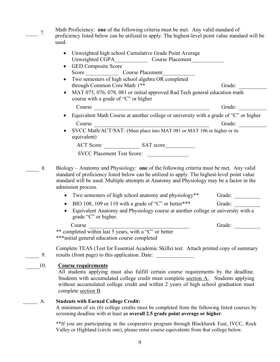7. Math Proficiency: **one** of the following criteria must be met. Any valid standard of proficiency listed below can be utilized to apply. The highest-level point value standard will be used.

|                                      | Unweighted CGPA Course Placement                                                      |        |
|--------------------------------------|---------------------------------------------------------------------------------------|--------|
| <b>GED Composite Score</b>           |                                                                                       |        |
|                                      | Score Course Placement                                                                |        |
|                                      | Two semesters of high school algebra OR completed                                     |        |
| through Common Core Math 1**         |                                                                                       | Grade: |
| $\bullet$                            | MAT 075, 076, 078, 081 or initial approved Rad Tech general education math            |        |
| course with a grade of "C" or higher |                                                                                       |        |
| Course                               |                                                                                       | Grade: |
|                                      | Equivalent Math Course at another college or university with a grade of "C" or higher |        |
| Course                               |                                                                                       | Grade: |
| equivalent)                          | SVCC Math/ACT/SAT: (Must place into MAT 081 or MAT 106 or higher or its               |        |

SVCC Placement Test Score:

- 8. Biology Anatomy and Physiology: **one** of the following criteria must be met. Any valid standard of proficiency listed below can be utilized to apply. The highest-level point value standard will be used. Multiple attempts at Anatomy and Physiology may be a factor in the admission process.
	- Two semesters of high school anatomy and physiology\*\* Grade:
	- BIO 108, 109 or 110 with a grade of "C" or better\*\*\* Grade:
	- Equivalent Anatomy and Physiology course at another college or university with a grade "C" or higher.

Course Grade:

\*\* completed within last 5 years, with a "C" or better \*\*\*initial general education course completed

Complete TEAS (Test for Essential Academic Skills) test. Attach printed copy of summary results (front page) to this application. Date: \_\_\_\_\_\_\_\_\_\_\_\_\_\_\_\_\_\_\_\_\_\_\_\_\_\_\_\_\_\_\_\_

#### 10. **Course requirements**

9.

All students applying must also fulfill certain course requirements by the deadline. Students with accumulated college credit must complete section A. Students applying without accumulated college credit and within 2 years of high school graduation must complete section B.

#### A. **Students with Earned College Credit:**

A minimum of six (6) college credits must be completed from the following listed courses by screening deadline with at least an **overall 2.5 grade point average or higher**.

\*\*If you are participating in the cooperative program through Blackhawk East, IVCC, Rock Valley or Highland (circle one), please enter course equivalents from that college below.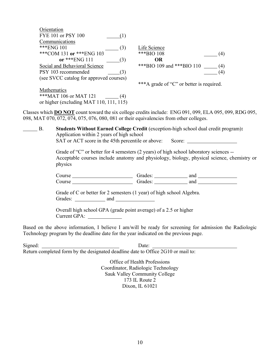| Orientation                             |                                          |
|-----------------------------------------|------------------------------------------|
| FYE 101 or PSY 100                      |                                          |
| Communications                          |                                          |
| *** ENG 101<br>(3)                      | Life Science                             |
| ***COM 131 or *** ENG 103               | ***BIO 108<br>(4)                        |
| or *** $ENG$ 111<br>(3)                 | OR                                       |
| Social and Behavioral Science           | ***BIO 109 and ***BIO 110<br>(4)         |
| PSY 103 recommended<br>(3)              | (4)                                      |
| (see SVCC catalog for approved courses) |                                          |
|                                         | ***A grade of "C" or better is required. |
| Mathematics                             |                                          |
| ***MAT 106 or MAT 121<br>(4)            |                                          |
| or higher (excluding MAT 110, 111, 115) |                                          |
|                                         |                                          |

Classes which **DO NOT** count toward the six college credits include: ENG 091, 099, ELA 095, 099, RDG 095, 098, MAT 070, 072, 074, 075, 076, 080, 081 or their equivalencies from other colleges.

B. Students Without Earned College Credit (exception-high school dual credit program): Application within 2 years of high school SAT or ACT score in the 45th percentile or above: Score:

Grade of "C" or better for 4 semesters (2 years) of high school laboratory sciences --Acceptable courses include anatomy and physiology, biology, physical science, chemistry or physics

Course Grades: and Course Course Course and Grades: Course and Grades:

Grade of C or better for 2 semesters (1 year) of high school Algebra. Grades: and

Overall high school GPA (grade point average) of a 2.5 or higher Current GPA:

Based on the above information, I believe I am/will be ready for screening for admission the Radiologic Technology program by the deadline date for the year indicated on the previous page.

| Signed:                                                                          | Date: |  |
|----------------------------------------------------------------------------------|-------|--|
| Return completed form by the designated deadline date to Office 2G10 or mail to: |       |  |

Office of Health Professions Coordinator, Radiologic Technology Sauk Valley Community College 173 IL Route 2 Dixon, IL 61021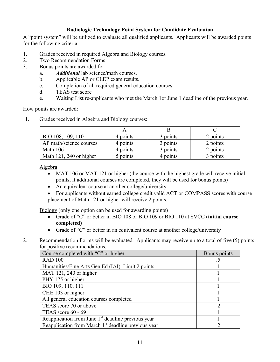#### **Radiologic Technology Point System for Candidate Evaluation**

<span id="page-10-0"></span>A "point system" will be utilized to evaluate all qualified applicants. Applicants will be awarded points for the following criteria:

- 1. Grades received in required Algebra and Biology courses.
- 2. Two Recommendation Forms
- 3. Bonus points are awarded for:
	- a. *Additional* lab science/math courses.
	- b. Applicable AP or CLEP exam results.
	- c. Completion of all required general education courses.
	- d. TEAS test score
	- e. Waiting List re-applicants who met the March 1or June 1 deadline of the previous year.

How points are awarded:

1. Grades received in Algebra and Biology courses:

| BIO 108, 109, 110          | 4 points | 3 points | 2 points |
|----------------------------|----------|----------|----------|
| AP math/science courses    | 4 points | 3 points | 2 points |
| Math 106                   | 4 points | 3 points | 2 points |
| Math $121$ , 240 or higher | 5 points | 4 points | 3 points |

Algebra

- MAT 106 or MAT 121 or higher (the course with the highest grade will receive initial points, if additional courses are completed, they will be used for bonus points)
- An equivalent course at another college/university
- For applicants without earned college credit valid ACT or COMPASS scores with course placement of Math 121 or higher will receive 2 points.

Biology (only one option can be used for awarding points)

- Grade of "C" or better in BIO 108 or BIO 109 or BIO 110 at SVCC **(initial course completed)**
- Grade of "C" or better in an equivalent course at another college/university
- 2. Recommendation Forms will be evaluated. Applicants may receive up to a total of five (5) points for positive recommendations.

| 101 positi v 1 <b>00</b> chambert and s<br>Course completed with "C" or higher | Bonus points |
|--------------------------------------------------------------------------------|--------------|
| <b>RAD 100</b>                                                                 |              |
| Humanities/Fine Arts Gen Ed (IAI). Limit 2 points.                             |              |
| MAT 121, 240 or higher                                                         |              |
| PHY 175 or higher                                                              |              |
| BIO 109, 110, 111                                                              |              |
| CHE 103 or higher                                                              |              |
| All general education courses completed                                        |              |
| TEAS score 70 or above                                                         | ำ            |
| TEAS score 60 - 69                                                             |              |
| Reapplication from June 1 <sup>st</sup> deadline previous year                 |              |
| Reapplication from March 1 <sup>st</sup> deadline previous year                |              |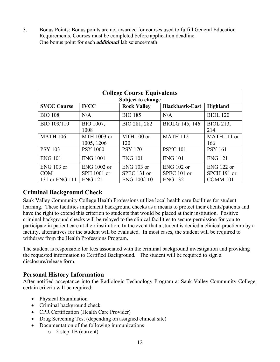3. Bonus Points: Bonus points are not awarded for courses used to fulfill General Education Requirements. Courses must be completed before application deadline. One bonus point for each *additional* lab science/math.

| <b>College Course Equivalents</b> |                 |                    |                       |                  |  |
|-----------------------------------|-----------------|--------------------|-----------------------|------------------|--|
| <b>Subject to change</b>          |                 |                    |                       |                  |  |
| <b>SVCC Course</b>                | <b>IVCC</b>     | <b>Rock Valley</b> | <b>Blackhawk-East</b> | <b>Highland</b>  |  |
| <b>BIO 108</b>                    | N/A             | <b>BIO 185</b>     | N/A                   | <b>BIOL</b> 120  |  |
| BIO 109/110                       | BIO 1007,       | BIO 281, 282       | BIOLG 145, 146        | <b>BIOL 213,</b> |  |
|                                   | 1008            |                    |                       | 214              |  |
| <b>MATH 106</b>                   | MTH 1003 or     | MTH 100 or         | <b>MATH 112</b>       | MATH 111 or      |  |
|                                   | 1005, 1206      | 120                |                       | 166              |  |
| <b>PSY 103</b>                    | <b>PSY 1000</b> | <b>PSY 170</b>     | <b>PSYC 101</b>       | <b>PSY 161</b>   |  |
| <b>ENG 101</b>                    | <b>ENG 1001</b> | <b>ENG 101</b>     | <b>ENG 101</b>        | <b>ENG 121</b>   |  |
| $ENG$ 103 or                      | ENG 1002 or     | $ENG$ 103 or       | $ENG$ 102 or          | $ENG$ 122 or     |  |
| <b>COM</b>                        | SPH 1001 or     | SPEC 131 or        | SPEC 101 or           | SPCH 191 or      |  |
| 131 or ENG 111                    | <b>ENG 125</b>  | ENG 100/110        | <b>ENG 132</b>        | COMM 101         |  |

#### <span id="page-11-0"></span>**Criminal Background Check**

Sauk Valley Community College Health Professions utilize local health care facilities for student learning. These facilities implement background checks as a means to protect their clients/patients and have the right to extend this criterion to students that would be placed at their institution. Positive criminal background checks will be relayed to the clinical facilities to secure permission for you to participate in patient care at their institution. In the event that a student is denied a clinical practicum by a facility, alternatives for the student will be evaluated. In most cases, the student will be required to withdraw from the Health Professions Program.

The student is responsible for fees associated with the criminal background investigation and providing the requested information to Certified Background. The student will be required to sign a disclosure/release form.

#### <span id="page-11-1"></span>**Personal History Information**

After notified acceptance into the Radiologic Technology Program at Sauk Valley Community College, certain criteria will be required:

- Physical Examination
- Criminal background check
- CPR Certification (Health Care Provider)
- Drug Screening Test (depending on assigned clinical site)
- Documentation of the following immunizations
	- o 2-step TB (current)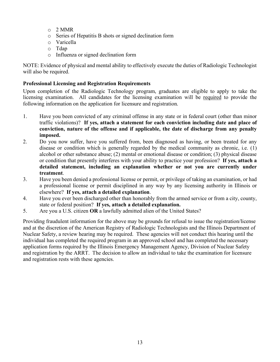- o 2 MMR
- o Series of Hepatitis B shots or signed declination form
- o Varicella
- o Tdap
- o Influenza or signed declination form

NOTE: Evidence of physical and mental ability to effectively execute the duties of Radiologic Technologist will also be required.

#### <span id="page-12-0"></span>**Professional Licensing and Registration Requirements**

Upon completion of the Radiologic Technology program, graduates are eligible to apply to take the licensing examination. All candidates for the licensing examination will be required to provide the following information on the application for licensure and registration.

- 1. Have you been convicted of any criminal offense in any state or in federal court (other than minor traffic violations)? **If yes, attach a statement for each conviction including date and place of conviction, nature of the offense and if applicable, the date of discharge from any penalty imposed.**
- 2. Do you now suffer, have you suffered from, been diagnosed as having, or been treated for any disease or condition which is generally regarded by the medical community as chronic, i.e. (1) alcohol or other substance abuse; (2) mental or emotional disease or condition; (3) physical disease or condition that presently interferes with your ability to practice your profession? **If yes, attach a detailed statement, including an explanation whether or not you are currently under treatment**.
- 3. Have you been denied a professional license or permit, or privilege of taking an examination, or had a professional license or permit disciplined in any way by any licensing authority in Illinois or elsewhere? **If yes, attach a detailed explanation**.
- 4. Have you ever been discharged other than honorably from the armed service or from a city, county, state or federal position? **If yes, attach a detailed explanation.**
- 5. Are you a U.S. citizen **OR** a lawfully admitted alien of the United States?

Providing fraudulent information for the above may be grounds for refusal to issue the registration/license and at the discretion of the American Registry of Radiologic Technologists and the Illinois Department of Nuclear Safety, a review hearing may be required. These agencies will not conduct this hearing until the individual has completed the required program in an approved school and has completed the necessary application forms required by the Illinois Emergency Management Agency, Division of Nuclear Safety and registration by the ARRT. The decision to allow an individual to take the examination for licensure and registration rests with these agencies.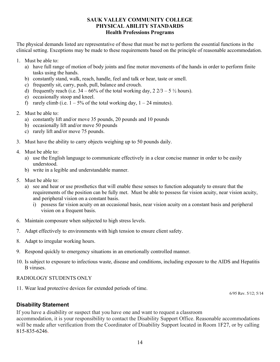#### **SAUK VALLEY COMMUNITY COLLEGE PHYSICAL ABILITY STANDARDS Health Professions Programs**

<span id="page-13-0"></span>The physical demands listed are representative of those that must be met to perform the essential functions in the clinical setting. Exceptions may be made to these requirements based on the principle of reasonable accommodation.

- 1. Must be able to:
	- a) have full range of motion of body joints and fine motor movements of the hands in order to perform finite tasks using the hands.
	- b) constantly stand, walk, reach, handle, feel and talk or hear, taste or smell.
	- c) frequently sit, carry, push, pull, balance and crouch.
	- d) frequently reach (i.e.  $34 66\%$  of the total working day,  $2\frac{2}{3} 5\frac{1}{2}$  hours).
	- e) occasionally stoop and kneel.
	- f) rarely climb (i.e.  $1 5\%$  of the total working day,  $1 24$  minutes).
- 2. Must be able to:
	- a) constantly lift and/or move 35 pounds, 20 pounds and 10 pounds
	- b) occasionally lift and/or move 50 pounds
	- c) rarely lift and/or move 75 pounds.
- 3. Must have the ability to carry objects weighing up to 50 pounds daily.
- 4. Must be able to:
	- a) use the English language to communicate effectively in a clear concise manner in order to be easily understood.
	- b) write in a legible and understandable manner.
- 5. Must be able to:
	- a) see and hear or use prosthetics that will enable these senses to function adequately to ensure that the requirements of the position can be fully met. Must be able to possess far vision acuity, near vision acuity, and peripheral vision on a constant basis.
		- i) possess far vision acuity on an occasional basis, near vision acuity on a constant basis and peripheral vision on a frequent basis.
- 6. Maintain composure when subjected to high stress levels.
- 7. Adapt effectively to environments with high tension to ensure client safety.
- 8. Adapt to irregular working hours.
- 9. Respond quickly to emergency situations in an emotionally controlled manner.
- 10. Is subject to exposure to infectious waste, disease and conditions, including exposure to the AIDS and Hepatitis B viruses.

#### RADIOLOGY STUDENTS ONLY

11. Wear lead protective devices for extended periods of time.

6/95 Rev. 5/12; 5/14

#### <span id="page-13-1"></span>**Disability Statement**

If you have a disability or suspect that you have one and want to request a classroom

accommodation, it is your responsibility to contact the Disability Support Office. Reasonable accommodations will be made after verification from the Coordinator of Disability Support located in Room 1F27, or by calling 815-835-6246.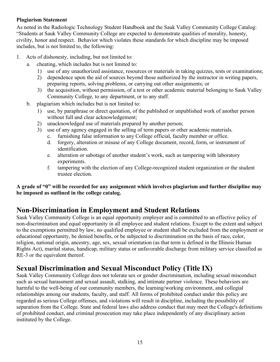#### <span id="page-14-0"></span>**Plagiarism Statement**

As noted in the Radiologic Technology Student Handbook and the Sauk Valley Community College Catalog: "Students at Sauk Valley Community College are expected to demonstrate qualities of morality, honesty, civility, honor and respect. Behavior which violates these standards for which discipline may be imposed includes, but is not limited to, the following:

- 1. Acts of dishonesty, including, but not limited to:
	- a. cheating, which includes but is not limited to:
		- 1) use of any unauthorized assistance, resources or materials in taking quizzes, tests or examinations;
		- 2) dependence upon the aid of sources beyond those authorized by the instructor in writing papers, preparing reports, solving problems, or carrying out other assignments; or
		- 3) the acquisition, without permission, of a test or other academic material belonging to Sauk Valley Community College, to any department, or to any staff.
	- b. plagiarism which includes but is not limited to:
		- 1) use, by paraphrase or direct quotation, of the published or unpublished work of another person without full and clear acknowledgement;
		- 2) unacknowledged use of materials prepared by another person;
		- 3) use of any agency engaged in the selling of term papers or other academic materials.
			- c. furnishing false information to any College official, faculty member or office.
			- d. forgery, alteration or misuse of any College document, record, form, or instrument of identification.
			- e. alteration or sabotage of another student's work, such as tampering with laboratory experiments.
			- f. tampering with the election of any College-recognized student organization or the student trustee election.

#### **A grade of "0" will be recorded for any assignment which involves plagiarism and further discipline may be imposed as outlined in the college catalog.**

### <span id="page-14-1"></span>**Non-Discrimination in Employment and Student Relations**

Sauk Valley Community College is an equal opportunity employer and is committed to an effective policy of non-discrimination and equal opportunity in all employee and student relations. Except to the extent and subject to the exemptions permitted by law, no qualified employee or student shall be excluded from the employment or educational opportunity, be denied benefits, or be subjected to discrimination on the basis of race, color, religion, national origin, ancestry, age, sex, sexual orientation (as that term is defined in the Illinois Human Rights Act), marital status, handicap, military status or unfavorable discharge from military service classified as RE-3 or the equivalent thereof.

## <span id="page-14-2"></span>**Sexual Discrimination and Sexual Misconduct Policy (Title IX)**

Sauk Valley Community College does not tolerate sex or gender discrimination, including sexual misconduct such as sexual harassment and sexual assault, stalking, and intimate partner violence. These behaviors are harmful to the well-being of our community members, the learning/working environment, and collegial relationships among our students, faculty, and staff. All forms of prohibited conduct under this policy are regarded as serious College offenses, and violations will result in discipline, including the possibility of separation from the College. State and federal laws also address conduct that may meet the College's definitions of prohibited conduct, and criminal prosecution may take place independently of any disciplinary action instituted by the College.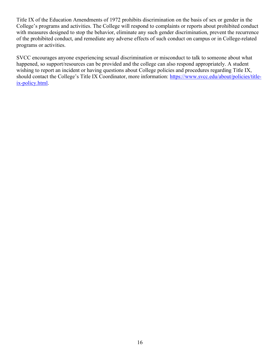Title IX of the Education Amendments of 1972 prohibits discrimination on the basis of sex or gender in the College's programs and activities. The College will respond to complaints or reports about prohibited conduct with measures designed to stop the behavior, eliminate any such gender discrimination, prevent the recurrence of the prohibited conduct, and remediate any adverse effects of such conduct on campus or in College-related programs or activities.

SVCC encourages anyone experiencing sexual discrimination or misconduct to talk to someone about what happened, so support/resources can be provided and the college can also respond appropriately. A student wishing to report an incident or having questions about College policies and procedures regarding Title IX, should contact the College's Title IX Coordinator, more information: [https://www.svcc.edu/about/policies/title](about:blank)[ix-policy.html.](about:blank)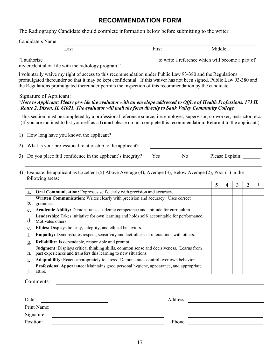## **RECOMMENDATION FORM**

<span id="page-16-0"></span>The Radiography Candidate should complete information below before submitting to the writer.

| Candidate's Name        |                                                                                                                                                                                                                                                                                                                                              |                                                  |                    |                |   |                |   |
|-------------------------|----------------------------------------------------------------------------------------------------------------------------------------------------------------------------------------------------------------------------------------------------------------------------------------------------------------------------------------------|--------------------------------------------------|--------------------|----------------|---|----------------|---|
|                         | Last                                                                                                                                                                                                                                                                                                                                         | First                                            | Middle             |                |   |                |   |
| "I authorize            | my credential on file with the radiology program."                                                                                                                                                                                                                                                                                           | to write a reference which will become a part of |                    |                |   |                |   |
|                         | I voluntarily waive my right of access to this recommendation under Public Law 93-380 and the Regulations<br>promulgated thereunder so that it may be kept confidential. If this waiver has not been signed, Public Law 93-380 and<br>the Regulations promulgated thereunder permits the inspection of this recommendation by the candidate. |                                                  |                    |                |   |                |   |
| Signature of Applicant: | *Note to Applicant: Please provide the evaluator with an envelope addressed to Office of Health Professions, 173 IL<br>Route 2, Dixon, IL 61021. The evaluator will mail the form directly to Sauk Valley Community College.                                                                                                                 |                                                  |                    |                |   |                |   |
|                         | This section must be completed by a professional reference source, i.e. employer, supervisor, co-worker, instructor, etc.<br>(If you are inclined to list yourself as a <b>friend</b> please do not complete this recommendation. Return it to the applicant.)                                                                               |                                                  |                    |                |   |                |   |
|                         | 1) How long have you known the applicant?                                                                                                                                                                                                                                                                                                    |                                                  |                    |                |   |                |   |
| 2)                      | What is your professional relationship to the applicant?                                                                                                                                                                                                                                                                                     |                                                  |                    |                |   |                |   |
| 3)                      | Do you place full confidence in the applicant's integrity?                                                                                                                                                                                                                                                                                   | Yes                                              | No Please Explain: |                |   |                |   |
| following areas:        | 4) Evaluate the applicant as Excellent (5) Above Average (4), Average (3), Below Average (2), Poor (1) in the                                                                                                                                                                                                                                |                                                  |                    |                |   |                |   |
|                         |                                                                                                                                                                                                                                                                                                                                              |                                                  | 5                  | $\overline{4}$ | 3 | $\overline{2}$ | 1 |
| a.                      | Oral Communication: Expresses self clearly with precision and accuracy.                                                                                                                                                                                                                                                                      |                                                  |                    |                |   |                |   |
| b.<br>grammar.          | Written Communication: Writes clearly with precision and accuracy. Uses correct                                                                                                                                                                                                                                                              |                                                  |                    |                |   |                |   |
| c.                      | Academic Ability: Demonstrates academic competence and aptitude for curriculum.                                                                                                                                                                                                                                                              |                                                  |                    |                |   |                |   |
| d.<br>Motivates others. | Leadership: Takes initiative for own learning and holds self- accountable for performance.                                                                                                                                                                                                                                                   |                                                  |                    |                |   |                |   |
| e.                      | Ethics: Displays honesty, integrity, and ethical behaviors.                                                                                                                                                                                                                                                                                  |                                                  |                    |                |   |                |   |
| f.                      | Empathy: Demonstrates respect, sensitivity and tactfulness in interactions with others.                                                                                                                                                                                                                                                      |                                                  |                    |                |   |                |   |
| g.                      | Reliability: Is dependable, responsible and prompt.                                                                                                                                                                                                                                                                                          |                                                  |                    |                |   |                |   |
| h.                      | Judgment: Displays critical thinking skills, common sense and decisiveness. Learns from<br>past experiences and transfers this learning to new situations.                                                                                                                                                                                   |                                                  |                    |                |   |                |   |
| i.                      | Adaptability: Reacts appropriately to stress. Demonstrates control over own behavior.                                                                                                                                                                                                                                                        |                                                  |                    |                |   |                |   |
| attire.                 | Professional Appearance: Maintains good personal hygiene, appearance, and appropriate                                                                                                                                                                                                                                                        |                                                  |                    |                |   |                |   |
| Comments:               |                                                                                                                                                                                                                                                                                                                                              |                                                  |                    |                |   |                |   |
| Date:                   | <u> 1989 - John Stein, mars and de Brandenburg and de Brandenburg and de Brandenburg and de Brandenburg and de Br</u>                                                                                                                                                                                                                        | Address:                                         |                    |                |   |                |   |
| Print Name:             | <u> 1980 - John Stein, amerikansk politiker (</u> † 1900)                                                                                                                                                                                                                                                                                    |                                                  |                    |                |   |                |   |
| Signature:              |                                                                                                                                                                                                                                                                                                                                              |                                                  |                    |                |   |                |   |
| Position:               |                                                                                                                                                                                                                                                                                                                                              | Phone:                                           |                    |                |   |                |   |